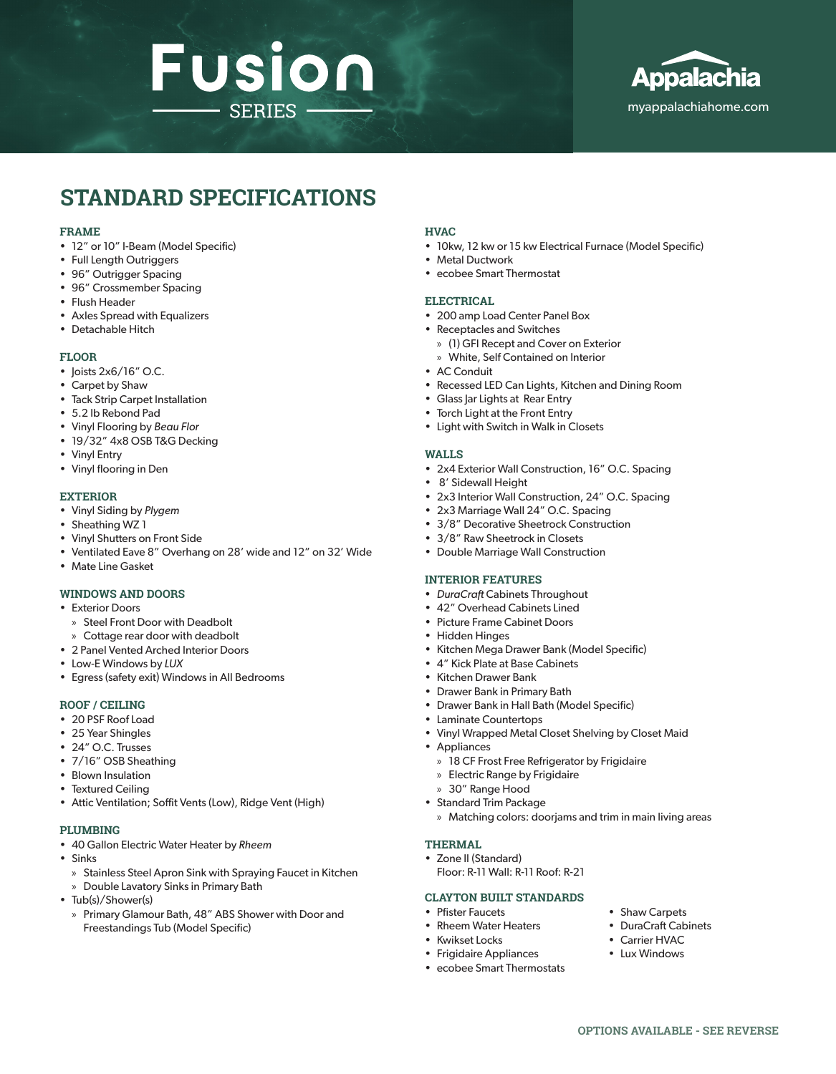# Fusion **SERIES**



# **STANDARD SPECIFICATIONS**

#### **FRAME**

- 12" or 10" I-Beam (Model Specific)
- Full Length Outriggers
- 96" Outrigger Spacing
- 96" Crossmember Spacing
- Flush Header
- Axles Spread with Equalizers
- Detachable Hitch

#### **FLOOR**

- Joists 2x6/16" O.C.
- Carpet by Shaw
- Tack Strip Carpet Installation
- 5.2 lb Rebond Pad
- Vinyl Flooring by *Beau Flor*
- 19/32" 4x8 OSB T&G Decking
- Vinyl Entry
- Vinyl flooring in Den

#### **EXTERIOR**

- Vinyl Siding by *Plygem*
- Sheathing WZ 1
- Vinyl Shutters on Front Side
- Ventilated Eave 8" Overhang on 28' wide and 12" on 32' Wide
- Mate Line Gasket

### **WINDOWS AND DOORS**

- Exterior Doors
	- » Steel Front Door with Deadbolt
	- » Cottage rear door with deadbolt
- 2 Panel Vented Arched Interior Doors
- Low-E Windows by *LUX*
- Egress (safety exit) Windows in All Bedrooms

### **ROOF / CEILING**

- 20 PSF Roof Load
- 25 Year Shingles
- 24" O.C. Trusses
- 7/16" OSB Sheathing
- Blown Insulation
- Textured Ceiling
- Attic Ventilation; Soffit Vents (Low), Ridge Vent (High)

#### **PLUMBING**

- 40 Gallon Electric Water Heater by *Rheem*
- Sinks
	- » Stainless Steel Apron Sink with Spraying Faucet in Kitchen
	- » Double Lavatory Sinks in Primary Bath
- Tub(s)/Shower(s)
	- » Primary Glamour Bath, 48" ABS Shower with Door and Freestandings Tub (Model Specific)

#### **HVAC**

- 10kw, 12 kw or 15 kw Electrical Furnace (Model Specific)
- Metal Ductwork
- ecobee Smart Thermostat

#### **ELECTRICAL**

- 200 amp Load Center Panel Box
- Receptacles and Switches
	- » (1) GFI Recept and Cover on Exterior
	- » White, Self Contained on Interior
- AC Conduit
- Recessed LED Can Lights, Kitchen and Dining Room
- Glass Jar Lights at Rear Entry
- Torch Light at the Front Entry
- Light with Switch in Walk in Closets

#### **WALLS**

- 2x4 Exterior Wall Construction, 16" O.C. Spacing
- 8' Sidewall Height
- 2x3 Interior Wall Construction, 24" O.C. Spacing
- 2x3 Marriage Wall 24" O.C. Spacing
- 3/8" Decorative Sheetrock Construction
- 3/8" Raw Sheetrock in Closets
- Double Marriage Wall Construction

#### **INTERIOR FEATURES**

- *• DuraCraft* Cabinets Throughout
- 42" Overhead Cabinets Lined
- Picture Frame Cabinet Doors
- Hidden Hinges
- Kitchen Mega Drawer Bank (Model Specific)
- 4" Kick Plate at Base Cabinets
- Kitchen Drawer Bank
- Drawer Bank in Primary Bath
- Drawer Bank in Hall Bath (Model Specific)
- Laminate Countertops
- Vinyl Wrapped Metal Closet Shelving by Closet Maid
- Appliances
	- » 18 CF Frost Free Refrigerator by Frigidaire
	- » Electric Range by Frigidaire
	- » 30" Range Hood
- Standard Trim Package
	- » Matching colors: doorjams and trim in main living areas

#### **THERMAL**

• Zone II (Standard)

Floor: R-11 Wall: R-11 Roof: R-21

# **CLAYTON BUILT STANDARDS**

- Pfister Faucets
- Rheem Water Heaters
- Kwikset Locks
- Frigidaire Appliances
- ecobee Smart Thermostats
- Shaw Carpets • DuraCraft Cabinets
- Carrier HVAC
- Lux Windows

**OPTIONS AVAILABLE - SEE REVERSE**